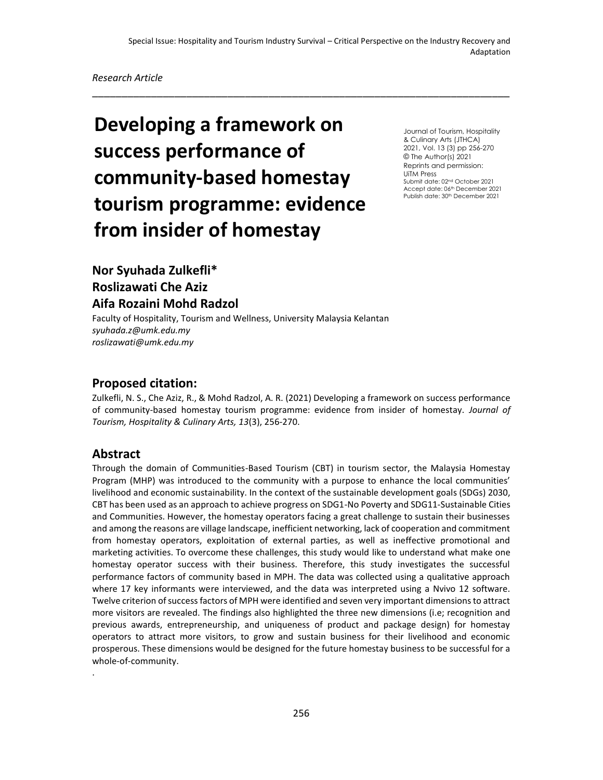\_\_\_\_\_\_\_\_\_\_\_\_\_\_\_\_\_\_\_\_\_\_\_\_\_\_\_\_\_\_\_\_\_\_\_\_\_\_\_\_\_\_\_\_\_\_\_\_\_\_\_\_\_\_\_\_\_\_\_\_\_\_\_\_\_\_\_\_\_\_\_

#### *Research Article*

# **Developing a framework on success performance of community-based homestay tourism programme: evidence from insider of homestay**

Journal of Tourism, Hospitality & Culinary Arts (JTHCA) 2021, Vol. 13 (3) pp 256-270 © The Author(s) 2021 Reprints and permission: UiTM Press Submit date: 02nd October 2021 Accept date: 06<sup>th</sup> December 2021 Publish date: 30<sup>th</sup> December 2021

## **Nor Syuhada Zulkefli\* Roslizawati Che Aziz Aifa Rozaini Mohd Radzol perspectively**<br>Perspectively

Faculty of Hospitality, Tourism and Wellness, University Malaysia Kelantan *syuhada.z@umk.edu.my roslizawati@umk.edu.my*

## **Proposed citation:**

Zulkefli, N. S., Che Aziz, R., & Mohd Radzol, A. R. (2021) Developing a framework on success performance of community-based homestay tourism programme: evidence from insider of homestay. *Journal of Tourism, Hospitality & Culinary Arts, 13*(3), 256-270.

## **Abstract**

.

Through the domain of Communities-Based Tourism (CBT) in tourism sector, the Malaysia Homestay Program (MHP) was introduced to the community with a purpose to enhance the local communities' livelihood and economic sustainability. In the context of the sustainable development goals (SDGs) 2030, CBT has been used as an approach to achieve progress on SDG1-No Poverty and SDG11-Sustainable Cities and Communities. However, the homestay operators facing a great challenge to sustain their businesses and among the reasons are village landscape, inefficient networking, lack of cooperation and commitment from homestay operators, exploitation of external parties, as well as ineffective promotional and marketing activities. To overcome these challenges, this study would like to understand what make one homestay operator success with their business. Therefore, this study investigates the successful performance factors of community based in MPH. The data was collected using a qualitative approach where 17 key informants were interviewed, and the data was interpreted using a Nvivo 12 software. Twelve criterion of success factors of MPH were identified and seven very important dimensions to attract more visitors are revealed. The findings also highlighted the three new dimensions (i.e; recognition and previous awards, entrepreneurship, and uniqueness of product and package design) for homestay operators to attract more visitors, to grow and sustain business for their livelihood and economic prosperous. These dimensions would be designed for the future homestay business to be successful for a whole-of-community.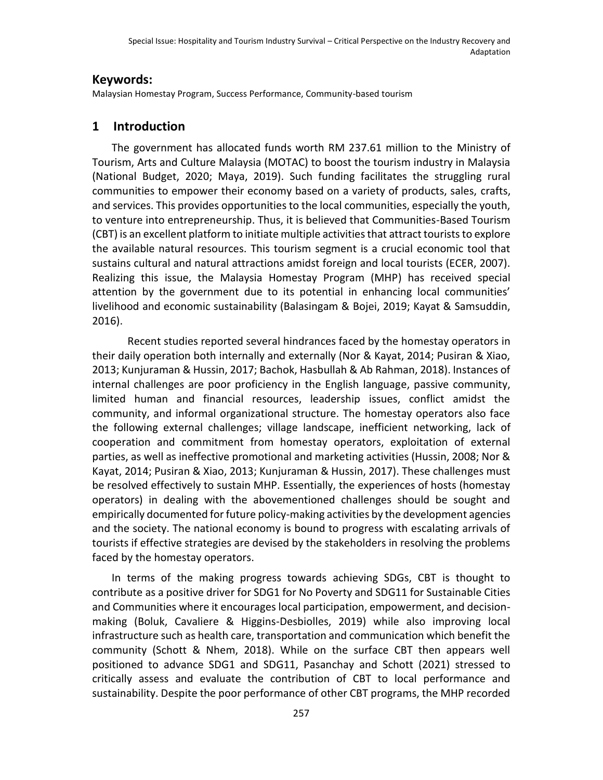## **Keywords:**

Malaysian Homestay Program, Success Performance, Community-based tourism

## **1 Introduction**

The government has allocated funds worth RM 237.61 million to the Ministry of Tourism, Arts and Culture Malaysia (MOTAC) to boost the tourism industry in Malaysia (National Budget, 2020; Maya, 2019). Such funding facilitates the struggling rural communities to empower their economy based on a variety of products, sales, crafts, and services. This provides opportunities to the local communities, especially the youth, to venture into entrepreneurship. Thus, it is believed that Communities-Based Tourism (CBT) is an excellent platform to initiate multiple activities that attract tourists to explore the available natural resources. This tourism segment is a crucial economic tool that sustains cultural and natural attractions amidst foreign and local tourists (ECER, 2007). Realizing this issue, the Malaysia Homestay Program (MHP) has received special attention by the government due to its potential in enhancing local communities' livelihood and economic sustainability (Balasingam & Bojei, 2019; Kayat & Samsuddin, 2016).

Recent studies reported several hindrances faced by the homestay operators in their daily operation both internally and externally (Nor & Kayat, 2014; Pusiran & Xiao, 2013; Kunjuraman & Hussin, 2017; Bachok, Hasbullah & Ab Rahman, 2018). Instances of internal challenges are poor proficiency in the English language, passive community, limited human and financial resources, leadership issues, conflict amidst the community, and informal organizational structure. The homestay operators also face the following external challenges; village landscape, inefficient networking, lack of cooperation and commitment from homestay operators, exploitation of external parties, as well as ineffective promotional and marketing activities (Hussin, 2008; Nor & Kayat, 2014; Pusiran & Xiao, 2013; Kunjuraman & Hussin, 2017). These challenges must be resolved effectively to sustain MHP. Essentially, the experiences of hosts (homestay operators) in dealing with the abovementioned challenges should be sought and empirically documented for future policy-making activities by the development agencies and the society. The national economy is bound to progress with escalating arrivals of tourists if effective strategies are devised by the stakeholders in resolving the problems faced by the homestay operators.

In terms of the making progress towards achieving SDGs, CBT is thought to contribute as a positive driver for SDG1 for No Poverty and SDG11 for Sustainable Cities and Communities where it encourages local participation, empowerment, and decisionmaking (Boluk, Cavaliere & Higgins-Desbiolles, 2019) while also improving local infrastructure such as health care, transportation and communication which benefit the community (Schott & Nhem, 2018). While on the surface CBT then appears well positioned to advance SDG1 and SDG11, Pasanchay and Schott (2021) stressed to critically assess and evaluate the contribution of CBT to local performance and sustainability. Despite the poor performance of other CBT programs, the MHP recorded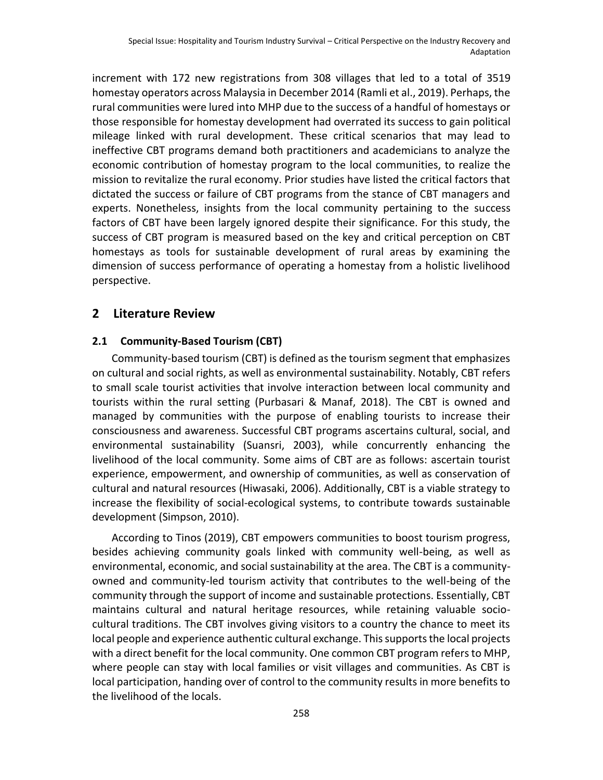increment with 172 new registrations from 308 villages that led to a total of 3519 homestay operators across Malaysia in December 2014 (Ramli et al., 2019). Perhaps, the rural communities were lured into MHP due to the success of a handful of homestays or those responsible for homestay development had overrated its success to gain political mileage linked with rural development. These critical scenarios that may lead to ineffective CBT programs demand both practitioners and academicians to analyze the economic contribution of homestay program to the local communities, to realize the mission to revitalize the rural economy. Prior studies have listed the critical factors that dictated the success or failure of CBT programs from the stance of CBT managers and experts. Nonetheless, insights from the local community pertaining to the success factors of CBT have been largely ignored despite their significance. For this study, the success of CBT program is measured based on the key and critical perception on CBT homestays as tools for sustainable development of rural areas by examining the dimension of success performance of operating a homestay from a holistic livelihood perspective.

## **2 Literature Review**

#### **2.1 Community-Based Tourism (CBT)**

Community-based tourism (CBT) is defined as the tourism segment that emphasizes on cultural and social rights, as well as environmental sustainability. Notably, CBT refers to small scale tourist activities that involve interaction between local community and tourists within the rural setting (Purbasari & Manaf, 2018). The CBT is owned and managed by communities with the purpose of enabling tourists to increase their consciousness and awareness. Successful CBT programs ascertains cultural, social, and environmental sustainability (Suansri, 2003), while concurrently enhancing the livelihood of the local community. Some aims of CBT are as follows: ascertain tourist experience, empowerment, and ownership of communities, as well as conservation of cultural and natural resources (Hiwasaki, 2006). Additionally, CBT is a viable strategy to increase the flexibility of social-ecological systems, to contribute towards sustainable development (Simpson, 2010).

According to Tinos (2019), CBT empowers communities to boost tourism progress, besides achieving community goals linked with community well-being, as well as environmental, economic, and social sustainability at the area. The CBT is a communityowned and community-led tourism activity that contributes to the well-being of the community through the support of income and sustainable protections. Essentially, CBT maintains cultural and natural heritage resources, while retaining valuable sociocultural traditions. The CBT involves giving visitors to a country the chance to meet its local people and experience authentic cultural exchange. This supports the local projects with a direct benefit for the local community. One common CBT program refers to MHP, where people can stay with local families or visit villages and communities. As CBT is local participation, handing over of control to the community results in more benefits to the livelihood of the locals.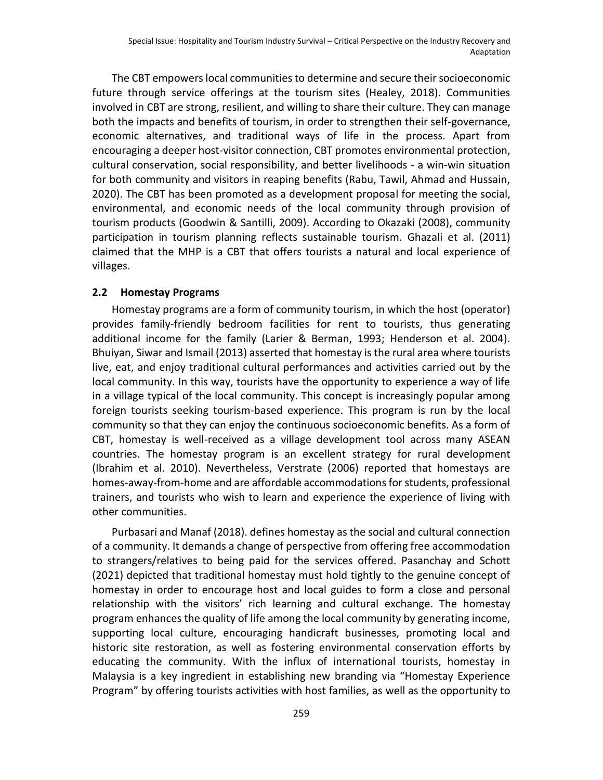The CBT empowers local communities to determine and secure their socioeconomic future through service offerings at the tourism sites (Healey, 2018). Communities involved in CBT are strong, resilient, and willing to share their culture. They can manage both the impacts and benefits of tourism, in order to strengthen their self-governance, economic alternatives, and traditional ways of life in the process. Apart from encouraging a deeper host-visitor connection, CBT promotes environmental protection, cultural conservation, social responsibility, and better livelihoods - a win-win situation for both community and visitors in reaping benefits (Rabu, Tawil, Ahmad and Hussain, 2020). The CBT has been promoted as a development proposal for meeting the social, environmental, and economic needs of the local community through provision of tourism products (Goodwin & Santilli, 2009). According to Okazaki (2008), community participation in tourism planning reflects sustainable tourism. Ghazali et al. (2011) claimed that the MHP is a CBT that offers tourists a natural and local experience of villages.

#### **2.2 Homestay Programs**

Homestay programs are a form of community tourism, in which the host (operator) provides family-friendly bedroom facilities for rent to tourists, thus generating additional income for the family (Larier & Berman, 1993; Henderson et al. 2004). Bhuiyan, Siwar and Ismail (2013) asserted that homestay is the rural area where tourists live, eat, and enjoy traditional cultural performances and activities carried out by the local community. In this way, tourists have the opportunity to experience a way of life in a village typical of the local community. This concept is increasingly popular among foreign tourists seeking tourism-based experience. This program is run by the local community so that they can enjoy the continuous socioeconomic benefits. As a form of CBT, homestay is well-received as a village development tool across many ASEAN countries. The homestay program is an excellent strategy for rural development (Ibrahim et al. 2010). Nevertheless, Verstrate (2006) reported that homestays are homes-away-from-home and are affordable accommodations for students, professional trainers, and tourists who wish to learn and experience the experience of living with other communities.

Purbasari and Manaf (2018). defines homestay as the social and cultural connection of a community. It demands a change of perspective from offering free accommodation to strangers/relatives to being paid for the services offered. Pasanchay and Schott (2021) depicted that traditional homestay must hold tightly to the genuine concept of homestay in order to encourage host and local guides to form a close and personal relationship with the visitors' rich learning and cultural exchange. The homestay program enhances the quality of life among the local community by generating income, supporting local culture, encouraging handicraft businesses, promoting local and historic site restoration, as well as fostering environmental conservation efforts by educating the community. With the influx of international tourists, homestay in Malaysia is a key ingredient in establishing new branding via "Homestay Experience Program" by offering tourists activities with host families, as well as the opportunity to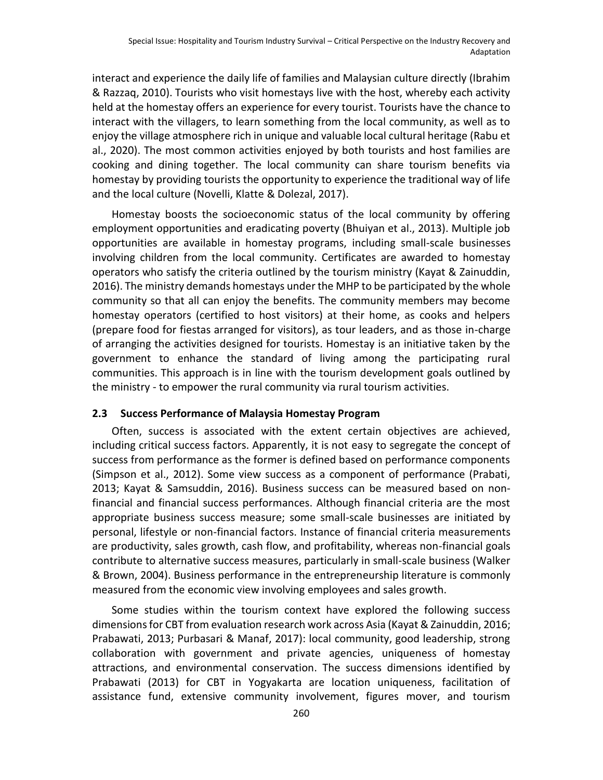interact and experience the daily life of families and Malaysian culture directly (Ibrahim & Razzaq, 2010). Tourists who visit homestays live with the host, whereby each activity held at the homestay offers an experience for every tourist. Tourists have the chance to interact with the villagers, to learn something from the local community, as well as to enjoy the village atmosphere rich in unique and valuable local cultural heritage (Rabu et al., 2020). The most common activities enjoyed by both tourists and host families are cooking and dining together. The local community can share tourism benefits via homestay by providing tourists the opportunity to experience the traditional way of life and the local culture (Novelli, Klatte & Dolezal, 2017).

Homestay boosts the socioeconomic status of the local community by offering employment opportunities and eradicating poverty (Bhuiyan et al., 2013). Multiple job opportunities are available in homestay programs, including small-scale businesses involving children from the local community. Certificates are awarded to homestay operators who satisfy the criteria outlined by the tourism ministry (Kayat & Zainuddin, 2016). The ministry demands homestays under the MHP to be participated by the whole community so that all can enjoy the benefits. The community members may become homestay operators (certified to host visitors) at their home, as cooks and helpers (prepare food for fiestas arranged for visitors), as tour leaders, and as those in-charge of arranging the activities designed for tourists. Homestay is an initiative taken by the government to enhance the standard of living among the participating rural communities. This approach is in line with the tourism development goals outlined by the ministry - to empower the rural community via rural tourism activities.

#### **2.3 Success Performance of Malaysia Homestay Program**

Often, success is associated with the extent certain objectives are achieved, including critical success factors. Apparently, it is not easy to segregate the concept of success from performance as the former is defined based on performance components (Simpson et al., 2012). Some view success as a component of performance (Prabati, 2013; Kayat & Samsuddin, 2016). Business success can be measured based on nonfinancial and financial success performances. Although financial criteria are the most appropriate business success measure; some small-scale businesses are initiated by personal, lifestyle or non-financial factors. Instance of financial criteria measurements are productivity, sales growth, cash flow, and profitability, whereas non-financial goals contribute to alternative success measures, particularly in small-scale business (Walker & Brown, 2004). Business performance in the entrepreneurship literature is commonly measured from the economic view involving employees and sales growth.

Some studies within the tourism context have explored the following success dimensions for CBT from evaluation research work across Asia (Kayat & Zainuddin, 2016; Prabawati, 2013; Purbasari & Manaf, 2017): local community, good leadership, strong collaboration with government and private agencies, uniqueness of homestay attractions, and environmental conservation. The success dimensions identified by Prabawati (2013) for CBT in Yogyakarta are location uniqueness, facilitation of assistance fund, extensive community involvement, figures mover, and tourism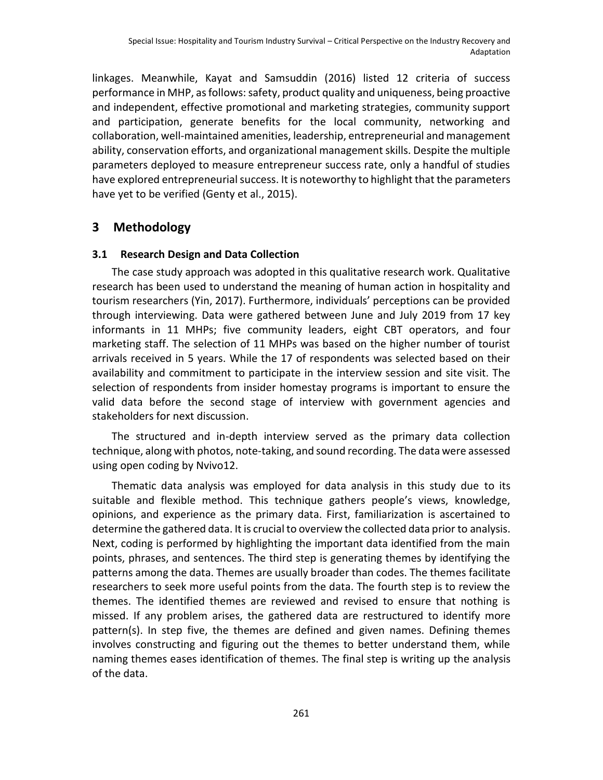linkages. Meanwhile, Kayat and Samsuddin (2016) listed 12 criteria of success performance in MHP, as follows: safety, product quality and uniqueness, being proactive and independent, effective promotional and marketing strategies, community support and participation, generate benefits for the local community, networking and collaboration, well-maintained amenities, leadership, entrepreneurial and management ability, conservation efforts, and organizational management skills. Despite the multiple parameters deployed to measure entrepreneur success rate, only a handful of studies have explored entrepreneurial success. It is noteworthy to highlight that the parameters have yet to be verified (Genty et al., 2015).

## **3 Methodology**

#### **3.1 Research Design and Data Collection**

The case study approach was adopted in this qualitative research work. Qualitative research has been used to understand the meaning of human action in hospitality and tourism researchers (Yin, 2017). Furthermore, individuals' perceptions can be provided through interviewing. Data were gathered between June and July 2019 from 17 key informants in 11 MHPs; five community leaders, eight CBT operators, and four marketing staff. The selection of 11 MHPs was based on the higher number of tourist arrivals received in 5 years. While the 17 of respondents was selected based on their availability and commitment to participate in the interview session and site visit. The selection of respondents from insider homestay programs is important to ensure the valid data before the second stage of interview with government agencies and stakeholders for next discussion.

The structured and in-depth interview served as the primary data collection technique, along with photos, note-taking, and sound recording. The data were assessed using open coding by Nvivo12.

Thematic data analysis was employed for data analysis in this study due to its suitable and flexible method. This technique gathers people's views, knowledge, opinions, and experience as the primary data. First, familiarization is ascertained to determine the gathered data. It is crucial to overview the collected data prior to analysis. Next, coding is performed by highlighting the important data identified from the main points, phrases, and sentences. The third step is generating themes by identifying the patterns among the data. Themes are usually broader than codes. The themes facilitate researchers to seek more useful points from the data. The fourth step is to review the themes. The identified themes are reviewed and revised to ensure that nothing is missed. If any problem arises, the gathered data are restructured to identify more pattern(s). In step five, the themes are defined and given names. Defining themes involves constructing and figuring out the themes to better understand them, while naming themes eases identification of themes. The final step is writing up the analysis of the data.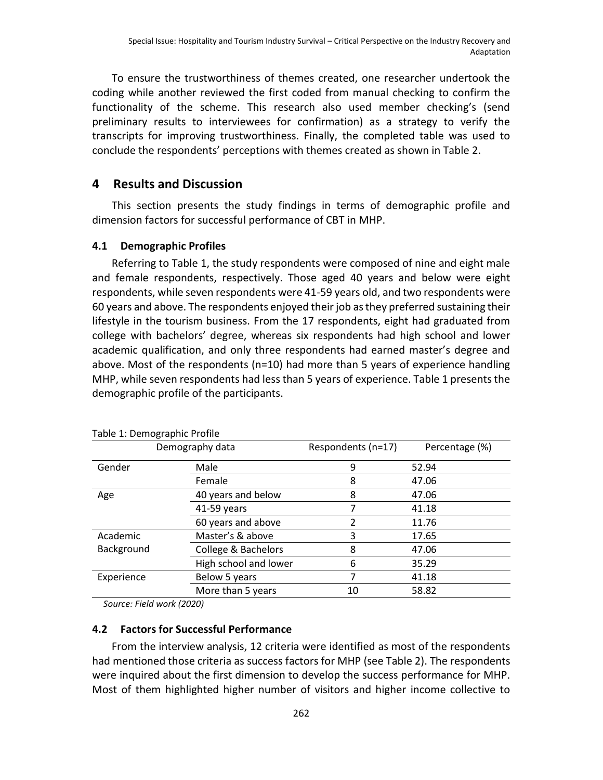To ensure the trustworthiness of themes created, one researcher undertook the coding while another reviewed the first coded from manual checking to confirm the functionality of the scheme. This research also used member checking's (send preliminary results to interviewees for confirmation) as a strategy to verify the transcripts for improving trustworthiness. Finally, the completed table was used to conclude the respondents' perceptions with themes created as shown in Table 2.

## **4 Results and Discussion**

This section presents the study findings in terms of demographic profile and dimension factors for successful performance of CBT in MHP.

#### **4.1 Demographic Profiles**

Referring to Table 1, the study respondents were composed of nine and eight male and female respondents, respectively. Those aged 40 years and below were eight respondents, while seven respondents were 41-59 years old, and two respondents were 60 years and above. The respondents enjoyed their job as they preferred sustaining their lifestyle in the tourism business. From the 17 respondents, eight had graduated from college with bachelors' degree, whereas six respondents had high school and lower academic qualification, and only three respondents had earned master's degree and above. Most of the respondents (n=10) had more than 5 years of experience handling MHP, while seven respondents had less than 5 years of experience. Table 1 presents the demographic profile of the participants.

| Demography data |                       | Respondents (n=17) | Percentage (%) |
|-----------------|-----------------------|--------------------|----------------|
| Gender          | Male                  | 9                  | 52.94          |
|                 | Female                | 8                  | 47.06          |
| Age             | 40 years and below    | 8                  | 47.06          |
|                 | 41-59 years           |                    | 41.18          |
|                 | 60 years and above    | 2                  | 11.76          |
| Academic        | Master's & above      | 3                  | 17.65          |
| Background      | College & Bachelors   | 8                  | 47.06          |
|                 | High school and lower | 6                  | 35.29          |
| Experience      | Below 5 years         | 7                  | 41.18          |
|                 | More than 5 years     | 10                 | 58.82          |

Table 1: Demographic Profile

*Source: Field work (2020)*

#### **4.2 Factors for Successful Performance**

From the interview analysis, 12 criteria were identified as most of the respondents had mentioned those criteria as success factors for MHP (see Table 2). The respondents were inquired about the first dimension to develop the success performance for MHP. Most of them highlighted higher number of visitors and higher income collective to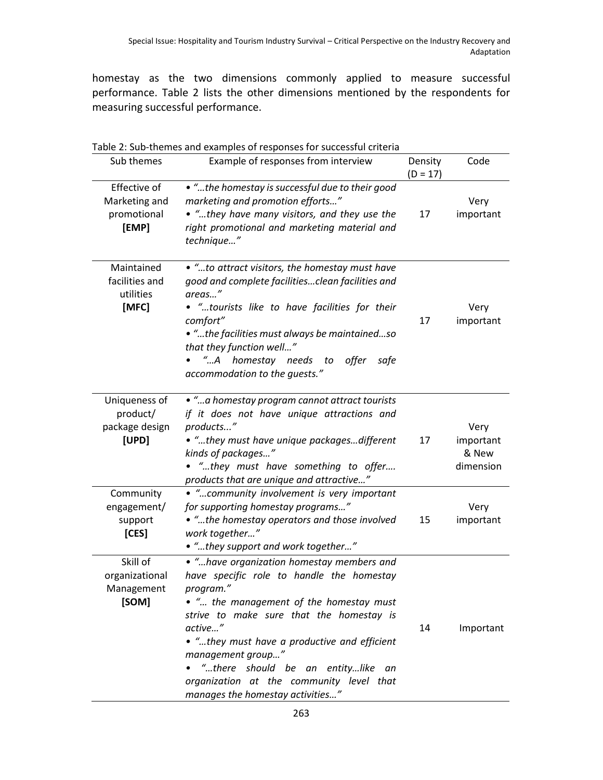homestay as the two dimensions commonly applied to measure successful performance. Table 2 lists the other dimensions mentioned by the respondents for measuring successful performance.

|                                                       | Table 2: Sub-themes and examples of responses for successful criteria                                                                                                                                                                                                                                                                                                                              |                       |                                         |  |
|-------------------------------------------------------|----------------------------------------------------------------------------------------------------------------------------------------------------------------------------------------------------------------------------------------------------------------------------------------------------------------------------------------------------------------------------------------------------|-----------------------|-----------------------------------------|--|
| Sub themes                                            | Example of responses from interview                                                                                                                                                                                                                                                                                                                                                                | Density<br>$(D = 17)$ | Code                                    |  |
| Effective of<br>Marketing and<br>promotional<br>[EMP] | • "the homestay is successful due to their good<br>marketing and promotion efforts"<br>. "they have many visitors, and they use the<br>right promotional and marketing material and<br>technique"                                                                                                                                                                                                  | 17                    | Very<br>important                       |  |
| Maintained<br>facilities and<br>utilities<br>[MFC]    | . "to attract visitors, the homestay must have<br>good and complete facilitiesclean facilities and<br>areas"<br>. "tourists like to have facilities for their<br>comfort"<br>. "the facilities must always be maintainedso<br>that they function well"<br>"A homestay needs<br>offer<br>to<br>safe<br>accommodation to the quests."                                                                | 17                    | Very<br>important                       |  |
| Uniqueness of<br>product/<br>package design<br>[UPD]  | . " a homestay program cannot attract tourists<br>if it does not have unique attractions and<br>products"<br>• "they must have unique packagesdifferent<br>kinds of packages"<br>. "they must have something to offer<br>products that are unique and attractive"                                                                                                                                  | 17                    | Very<br>important<br>& New<br>dimension |  |
| Community<br>engagement/<br>support<br>[CES]          | • "community involvement is very important<br>for supporting homestay programs"<br>• "the homestay operators and those involved<br>work together"<br>• "they support and work together"                                                                                                                                                                                                            | 15                    | Very<br>important                       |  |
| Skill of<br>organizational<br>Management<br>[SOM]     | • "have organization homestay members and<br>have specific role to handle the homestay<br>program."<br>• " the management of the homestay must<br>strive to make sure that the homestay is<br>active"<br>• "they must have a productive and efficient<br>management group"<br>"there should be an entitylike<br>an<br>organization at the community level that<br>manages the homestay activities" | 14                    | Important                               |  |

263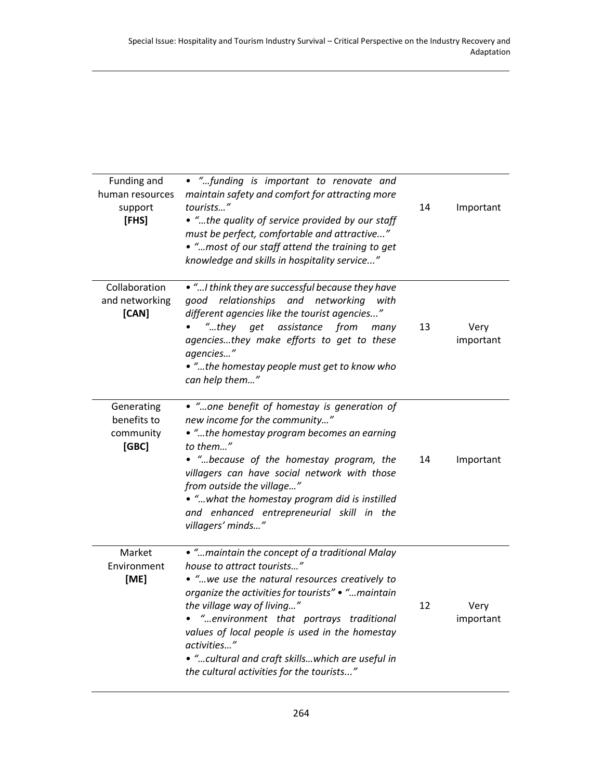| Funding and<br>human resources<br>support<br>[FHS] | • "funding is important to renovate and<br>maintain safety and comfort for attracting more<br>tourists"<br>• "the quality of service provided by our staff<br>must be perfect, comfortable and attractive"<br>. "most of our staff attend the training to get<br>knowledge and skills in hospitality service"                                                                                                                 | 14 | Important         |
|----------------------------------------------------|-------------------------------------------------------------------------------------------------------------------------------------------------------------------------------------------------------------------------------------------------------------------------------------------------------------------------------------------------------------------------------------------------------------------------------|----|-------------------|
| Collaboration<br>and networking<br>[CAN]           | . " I think they are successful because they have<br>good relationships and networking<br>with<br>different agencies like the tourist agencies"<br>$"$ they<br>from<br>get<br>assistance<br>many<br>agenciesthey make efforts to get to these<br>agencies"<br>. "the homestay people must get to know who<br>can help them"                                                                                                   | 13 | Very<br>important |
| Generating<br>benefits to<br>community<br>[GBC]    | • "one benefit of homestay is generation of<br>new income for the community"<br>• "the homestay program becomes an earning<br>to them"<br>. " because of the homestay program, the<br>villagers can have social network with those<br>from outside the village"<br>. " what the homestay program did is instilled<br>and enhanced entrepreneurial skill in the<br>villagers' minds"                                           | 14 | Important         |
| Market<br>Environment<br>[ME]                      | . "maintain the concept of a traditional Malay<br>house to attract tourists"<br>• "we use the natural resources creatively to<br>organize the activities for tourists"  maintain<br>the village way of living"<br>. "environment that portrays traditional<br>values of local people is used in the homestay<br>activities"<br>• " cultural and craft skills which are useful in<br>the cultural activities for the tourists" | 12 | Very<br>important |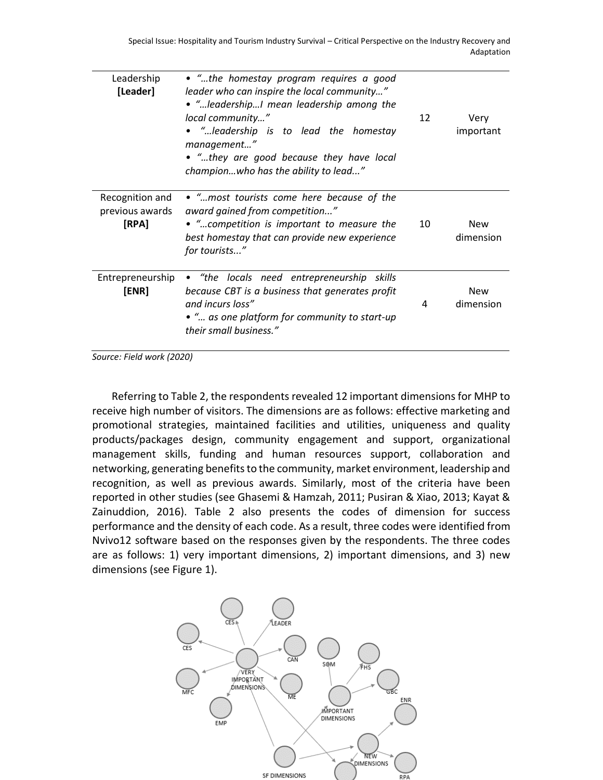| Leadership<br>[Leader]                      | • "the homestay program requires a good<br>leader who can inspire the local community"<br>• "leadershipI mean leadership among the<br>local community"<br>• "leadership is to lead the homestay<br>management"<br>• "they are good because they have local<br>championwho has the ability to lead" | 12 | Very<br>important       |
|---------------------------------------------|----------------------------------------------------------------------------------------------------------------------------------------------------------------------------------------------------------------------------------------------------------------------------------------------------|----|-------------------------|
| Recognition and<br>previous awards<br>[RPA] | • "most tourists come here because of the<br>award gained from competition"<br>• "competition is important to measure the<br>best homestay that can provide new experience<br>for tourists"                                                                                                        | 10 | <b>New</b><br>dimension |
| Entrepreneurship<br>[ENR]                   | • "the locals need entrepreneurship skills<br>because CBT is a business that generates profit<br>and incurs loss"<br>• " as one platform for community to start-up<br>their small business."                                                                                                       | 4  | <b>New</b><br>dimension |

*Source: Field work (2020)*

Referring to Table 2, the respondents revealed 12 important dimensions for MHP to receive high number of visitors. The dimensions are as follows: effective marketing and promotional strategies, maintained facilities and utilities, uniqueness and quality products/packages design, community engagement and support, organizational management skills, funding and human resources support, collaboration and networking, generating benefits to the community, market environment, leadership and recognition, as well as previous awards. Similarly, most of the criteria have been reported in other studies (see Ghasemi & Hamzah, 2011; Pusiran & Xiao, 2013; Kayat & Zainuddion, 2016). Table 2 also presents the codes of dimension for success performance and the density of each code. As a result, three codes were identified from Nvivo12 software based on the responses given by the respondents. The three codes are as follows: 1) very important dimensions, 2) important dimensions, and 3) new dimensions (see Figure 1).

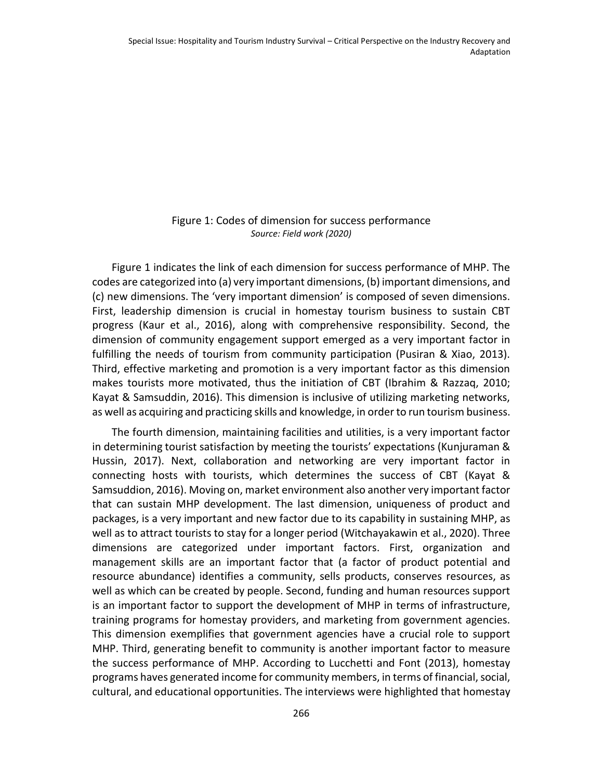#### Figure 1: Codes of dimension for success performance *Source: Field work (2020)*

Figure 1 indicates the link of each dimension for success performance of MHP. The codes are categorized into (a) very important dimensions, (b) important dimensions, and (c) new dimensions. The 'very important dimension' is composed of seven dimensions. First, leadership dimension is crucial in homestay tourism business to sustain CBT progress (Kaur et al., 2016), along with comprehensive responsibility. Second, the dimension of community engagement support emerged as a very important factor in fulfilling the needs of tourism from community participation (Pusiran & Xiao, 2013). Third, effective marketing and promotion is a very important factor as this dimension makes tourists more motivated, thus the initiation of CBT (Ibrahim & Razzaq, 2010; Kayat & Samsuddin, 2016). This dimension is inclusive of utilizing marketing networks, as well as acquiring and practicing skills and knowledge, in order to run tourism business.

The fourth dimension, maintaining facilities and utilities, is a very important factor in determining tourist satisfaction by meeting the tourists' expectations (Kunjuraman & Hussin, 2017). Next, collaboration and networking are very important factor in connecting hosts with tourists, which determines the success of CBT (Kayat & Samsuddion, 2016). Moving on, market environment also another very important factor that can sustain MHP development. The last dimension, uniqueness of product and packages, is a very important and new factor due to its capability in sustaining MHP, as well as to attract tourists to stay for a longer period (Witchayakawin et al., 2020). Three dimensions are categorized under important factors. First, organization and management skills are an important factor that (a factor of product potential and resource abundance) identifies a community, sells products, conserves resources, as well as which can be created by people. Second, funding and human resources support is an important factor to support the development of MHP in terms of infrastructure, training programs for homestay providers, and marketing from government agencies. This dimension exemplifies that government agencies have a crucial role to support MHP. Third, generating benefit to community is another important factor to measure the success performance of MHP. According to Lucchetti and Font (2013), homestay programs haves generated income for community members, in terms of financial, social, cultural, and educational opportunities. The interviews were highlighted that homestay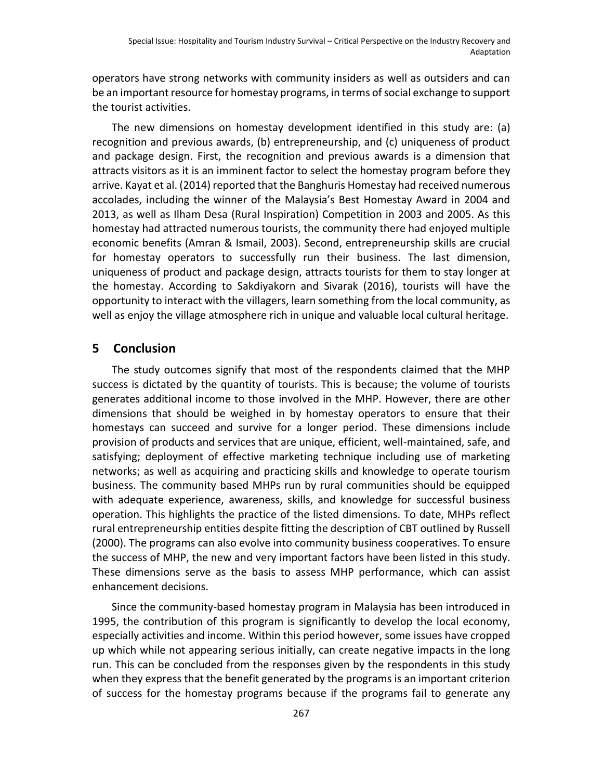operators have strong networks with community insiders as well as outsiders and can be an important resource for homestay programs, in terms of social exchange to support the tourist activities.

The new dimensions on homestay development identified in this study are: (a) recognition and previous awards, (b) entrepreneurship, and (c) uniqueness of product and package design. First, the recognition and previous awards is a dimension that attracts visitors as it is an imminent factor to select the homestay program before they arrive. Kayat et al. (2014) reported that the Banghuris Homestay had received numerous accolades, including the winner of the Malaysia's Best Homestay Award in 2004 and 2013, as well as Ilham Desa (Rural Inspiration) Competition in 2003 and 2005. As this homestay had attracted numerous tourists, the community there had enjoyed multiple economic benefits (Amran & Ismail, 2003). Second, entrepreneurship skills are crucial for homestay operators to successfully run their business. The last dimension, uniqueness of product and package design, attracts tourists for them to stay longer at the homestay. According to Sakdiyakorn and Sivarak (2016), tourists will have the opportunity to interact with the villagers, learn something from the local community, as well as enjoy the village atmosphere rich in unique and valuable local cultural heritage.

## **5 Conclusion**

The study outcomes signify that most of the respondents claimed that the MHP success is dictated by the quantity of tourists. This is because; the volume of tourists generates additional income to those involved in the MHP. However, there are other dimensions that should be weighed in by homestay operators to ensure that their homestays can succeed and survive for a longer period. These dimensions include provision of products and services that are unique, efficient, well-maintained, safe, and satisfying; deployment of effective marketing technique including use of marketing networks; as well as acquiring and practicing skills and knowledge to operate tourism business. The community based MHPs run by rural communities should be equipped with adequate experience, awareness, skills, and knowledge for successful business operation. This highlights the practice of the listed dimensions. To date, MHPs reflect rural entrepreneurship entities despite fitting the description of CBT outlined by Russell (2000). The programs can also evolve into community business cooperatives. To ensure the success of MHP, the new and very important factors have been listed in this study. These dimensions serve as the basis to assess MHP performance, which can assist enhancement decisions.

Since the community-based homestay program in Malaysia has been introduced in 1995, the contribution of this program is significantly to develop the local economy, especially activities and income. Within this period however, some issues have cropped up which while not appearing serious initially, can create negative impacts in the long run. This can be concluded from the responses given by the respondents in this study when they express that the benefit generated by the programs is an important criterion of success for the homestay programs because if the programs fail to generate any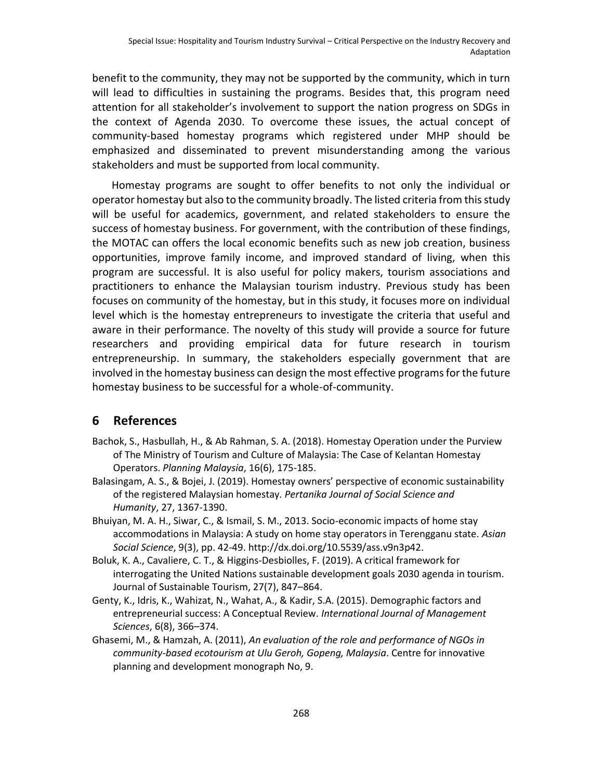benefit to the community, they may not be supported by the community, which in turn will lead to difficulties in sustaining the programs. Besides that, this program need attention for all stakeholder's involvement to support the nation progress on SDGs in the context of Agenda 2030. To overcome these issues, the actual concept of community-based homestay programs which registered under MHP should be emphasized and disseminated to prevent misunderstanding among the various stakeholders and must be supported from local community.

Homestay programs are sought to offer benefits to not only the individual or operator homestay but also to the community broadly. The listed criteria from this study will be useful for academics, government, and related stakeholders to ensure the success of homestay business. For government, with the contribution of these findings, the MOTAC can offers the local economic benefits such as new job creation, business opportunities, improve family income, and improved standard of living, when this program are successful. It is also useful for policy makers, tourism associations and practitioners to enhance the Malaysian tourism industry. Previous study has been focuses on community of the homestay, but in this study, it focuses more on individual level which is the homestay entrepreneurs to investigate the criteria that useful and aware in their performance. The novelty of this study will provide a source for future researchers and providing empirical data for future research in tourism entrepreneurship. In summary, the stakeholders especially government that are involved in the homestay business can design the most effective programs for the future homestay business to be successful for a whole-of-community.

## **6 References**

- Bachok, S., Hasbullah, H., & Ab Rahman, S. A. (2018). Homestay Operation under the Purview of The Ministry of Tourism and Culture of Malaysia: The Case of Kelantan Homestay Operators. *Planning Malaysia*, 16(6), 175-185.
- Balasingam, A. S., & Bojei, J. (2019). Homestay owners' perspective of economic sustainability of the registered Malaysian homestay*. Pertanika Journal of Social Science and Humanity*, 27, 1367-1390.
- Bhuiyan, M. A. H., Siwar, C., & Ismail, S. M., 2013. Socio-economic impacts of home stay accommodations in Malaysia: A study on home stay operators in Terengganu state. *Asian Social Science*, 9(3), pp. 42-49. http://dx.doi.org/10.5539/ass.v9n3p42.
- Boluk, K. A., Cavaliere, C. T., & Higgins-Desbiolles, F. (2019). A critical framework for interrogating the United Nations sustainable development goals 2030 agenda in tourism. Journal of Sustainable Tourism, 27(7), 847–864.
- Genty, K., Idris, K., Wahizat, N., Wahat, A., & Kadir, S.A. (2015). Demographic factors and entrepreneurial success: A Conceptual Review. *International Journal of Management Sciences*, 6(8), 366–374.
- Ghasemi, M., & Hamzah, A. (2011), *An evaluation of the role and performance of NGOs in community-based ecotourism at Ulu Geroh, Gopeng, Malaysia*. Centre for innovative planning and development monograph No, 9.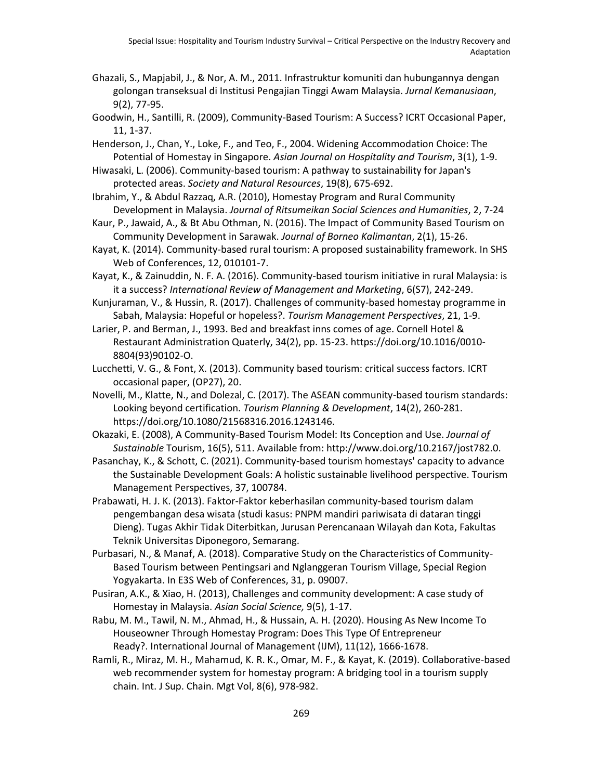- Ghazali, S., Mapjabil, J., & Nor, A. M., 2011. Infrastruktur komuniti dan hubungannya dengan golongan transeksual di Institusi Pengajian Tinggi Awam Malaysia. *Jurnal Kemanusiaan*, 9(2), 77-95.
- Goodwin, H., Santilli, R. (2009), Community-Based Tourism: A Success? ICRT Occasional Paper, 11, 1-37.
- Henderson, J., Chan, Y., Loke, F., and Teo, F., 2004. Widening Accommodation Choice: The Potential of Homestay in Singapore. *Asian Journal on Hospitality and Tourism*, 3(1), 1-9.
- Hiwasaki, L. (2006). Community-based tourism: A pathway to sustainability for Japan's protected areas. *Society and Natural Resources*, 19(8), 675-692.
- Ibrahim, Y., & Abdul Razzaq, A.R. (2010), Homestay Program and Rural Community Development in Malaysia. *Journal of Ritsumeikan Social Sciences and Humanities*, 2, 7-24
- Kaur, P., Jawaid, A., & Bt Abu Othman, N. (2016). The Impact of Community Based Tourism on Community Development in Sarawak. *Journal of Borneo Kalimantan*, 2(1), 15-26.
- Kayat, K. (2014). Community-based rural tourism: A proposed sustainability framework. In SHS Web of Conferences, 12, 010101-7.
- Kayat, K., & Zainuddin, N. F. A. (2016). Community-based tourism initiative in rural Malaysia: is it a success? *International Review of Management and Marketing*, 6(S7), 242-249.
- Kunjuraman, V., & Hussin, R. (2017). Challenges of community-based homestay programme in Sabah, Malaysia: Hopeful or hopeless?. *Tourism Management Perspectives*, 21, 1-9.
- Larier, P. and Berman, J., 1993. Bed and breakfast inns comes of age. Cornell Hotel & Restaurant Administration Quaterly, 34(2), pp. 15-23. https://doi.org/10.1016/0010- 8804(93)90102-O.
- Lucchetti, V. G., & Font, X. (2013). Community based tourism: critical success factors. ICRT occasional paper, (OP27), 20.
- Novelli, M., Klatte, N., and Dolezal, C. (2017). The ASEAN community-based tourism standards: Looking beyond certification. *Tourism Planning & Development*, 14(2), 260-281. https://doi.org/10.1080/21568316.2016.1243146.
- Okazaki, E. (2008), A Community-Based Tourism Model: Its Conception and Use. *Journal of Sustainable* Tourism, 16(5), 511. Available from: http://www.doi.org/10.2167/jost782.0.
- Pasanchay, K., & Schott, C. (2021). Community-based tourism homestays' capacity to advance the Sustainable Development Goals: A holistic sustainable livelihood perspective. Tourism Management Perspectives, 37, 100784.
- Prabawati, H. J. K. (2013). Faktor-Faktor keberhasilan community-based tourism dalam pengembangan desa wisata (studi kasus: PNPM mandiri pariwisata di dataran tinggi Dieng). Tugas Akhir Tidak Diterbitkan, Jurusan Perencanaan Wilayah dan Kota, Fakultas Teknik Universitas Diponegoro, Semarang.
- Purbasari, N., & Manaf, A. (2018). Comparative Study on the Characteristics of Community-Based Tourism between Pentingsari and Nglanggeran Tourism Village, Special Region Yogyakarta. In E3S Web of Conferences, 31, p. 09007.
- Pusiran, A.K., & Xiao, H. (2013), Challenges and community development: A case study of Homestay in Malaysia. *Asian Social Science,* 9(5), 1-17.
- Rabu, M. M., Tawil, N. M., Ahmad, H., & Hussain, A. H. (2020). Housing As New Income To Houseowner Through Homestay Program: Does This Type Of Entrepreneur Ready?. International Journal of Management (IJM), 11(12), 1666-1678.
- Ramli, R., Miraz, M. H., Mahamud, K. R. K., Omar, M. F., & Kayat, K. (2019). Collaborative-based web recommender system for homestay program: A bridging tool in a tourism supply chain. Int. J Sup. Chain. Mgt Vol, 8(6), 978-982.